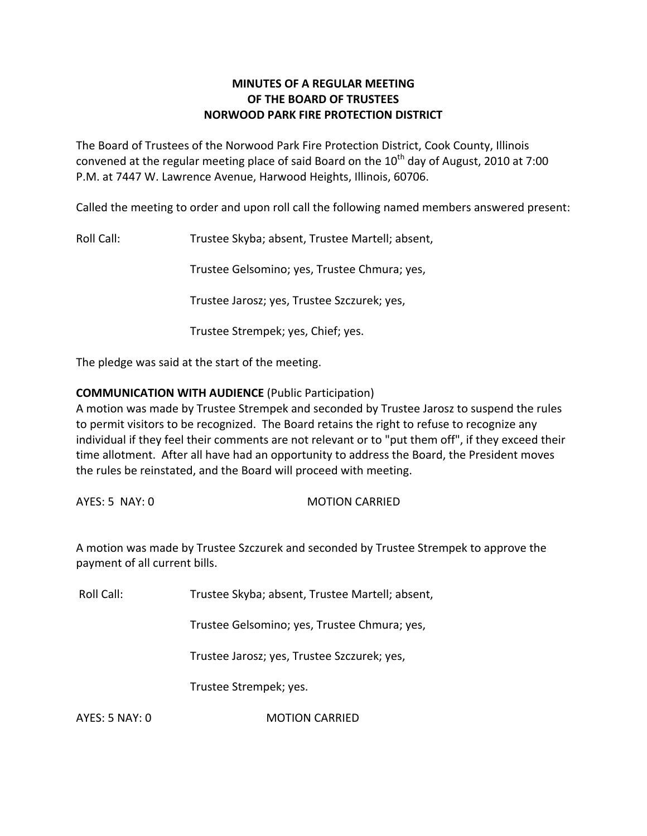# **MINUTES OF A REGULAR MEETING OF THE BOARD OF TRUSTEES NORWOOD PARK FIRE PROTECTION DISTRICT**

The Board of Trustees of the Norwood Park Fire Protection District, Cook County, Illinois convened at the regular meeting place of said Board on the  $10<sup>th</sup>$  day of August, 2010 at 7:00 P.M. at 7447 W. Lawrence Avenue, Harwood Heights, Illinois, 60706.

Called the meeting to order and upon roll call the following named members answered present:

Roll Call: Trustee Skyba; absent, Trustee Martell; absent,

Trustee Gelsomino; yes, Trustee Chmura; yes,

Trustee Jarosz; yes, Trustee Szczurek; yes,

Trustee Strempek; yes, Chief; yes.

The pledge was said at the start of the meeting.

# **COMMUNICATION WITH AUDIENCE** (Public Participation)

A motion was made by Trustee Strempek and seconded by Trustee Jarosz to suspend the rules to permit visitors to be recognized. The Board retains the right to refuse to recognize any individual if they feel their comments are not relevant or to "put them off", if they exceed their time allotment. After all have had an opportunity to address the Board, the President moves the rules be reinstated, and the Board will proceed with meeting.

AYES: 5 NAY: 0 MOTION CARRIED

A motion was made by Trustee Szczurek and seconded by Trustee Strempek to approve the payment of all current bills.

Roll Call: Trustee Skyba; absent, Trustee Martell; absent,

Trustee Gelsomino; yes, Trustee Chmura; yes,

Trustee Jarosz; yes, Trustee Szczurek; yes,

Trustee Strempek; yes.

AYES: 5 NAY: 0 MOTION CARRIED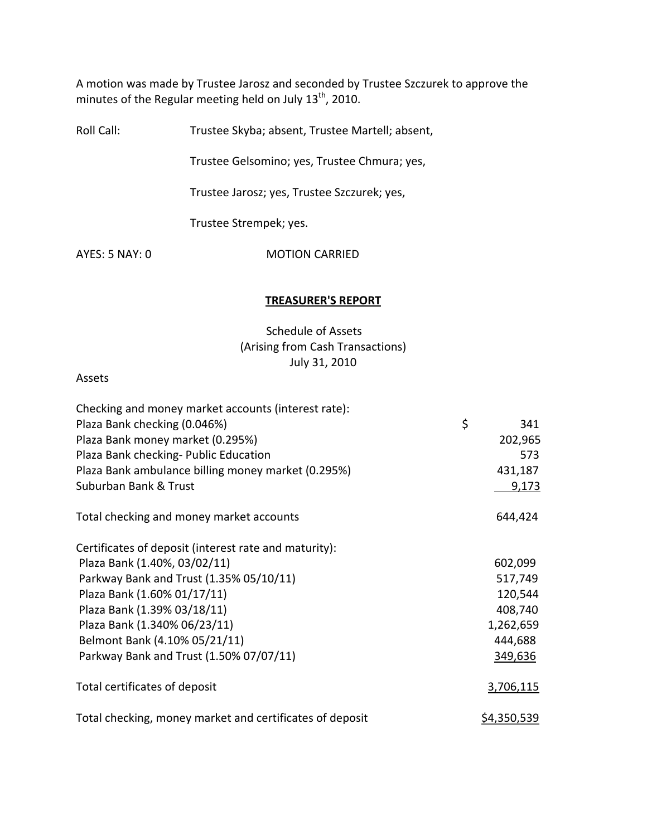A motion was made by Trustee Jarosz and seconded by Trustee Szczurek to approve the minutes of the Regular meeting held on July  $13<sup>th</sup>$ , 2010.

Roll Call: Trustee Skyba; absent, Trustee Martell; absent,

Trustee Gelsomino; yes, Trustee Chmura; yes,

Trustee Jarosz; yes, Trustee Szczurek; yes,

Trustee Strempek; yes.

AYES: 5 NAY: 0 MOTION CARRIED

#### **TREASURER'S REPORT**

Schedule of Assets (Arising from Cash Transactions) July 31, 2010

#### Assets

| Checking and money market accounts (interest rate):      |                    |  |
|----------------------------------------------------------|--------------------|--|
| Plaza Bank checking (0.046%)                             | \$<br>341          |  |
| Plaza Bank money market (0.295%)                         | 202,965            |  |
| Plaza Bank checking- Public Education                    | 573                |  |
| Plaza Bank ambulance billing money market (0.295%)       | 431,187            |  |
| Suburban Bank & Trust                                    | 9,173              |  |
| Total checking and money market accounts                 | 644,424            |  |
| Certificates of deposit (interest rate and maturity):    |                    |  |
| Plaza Bank (1.40%, 03/02/11)                             | 602,099            |  |
| Parkway Bank and Trust (1.35% 05/10/11)                  | 517,749            |  |
| Plaza Bank (1.60% 01/17/11)                              | 120,544            |  |
| Plaza Bank (1.39% 03/18/11)                              | 408,740            |  |
| Plaza Bank (1.340% 06/23/11)                             | 1,262,659          |  |
| Belmont Bank (4.10% 05/21/11)                            | 444,688            |  |
| Parkway Bank and Trust (1.50% 07/07/11)                  | 349,636            |  |
| Total certificates of deposit                            | 3,706,115          |  |
| Total checking, money market and certificates of deposit | <u>\$4,350,539</u> |  |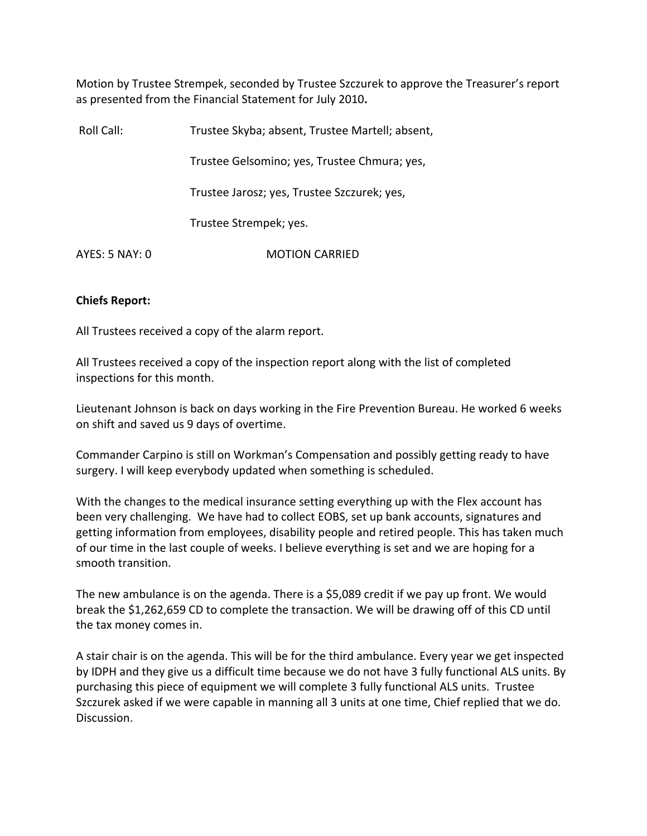Motion by Trustee Strempek, seconded by Trustee Szczurek to approve the Treasurer's report as presented from the Financial Statement for July 2010**.**

| Roll Call:     | Trustee Skyba; absent, Trustee Martell; absent, |
|----------------|-------------------------------------------------|
|                | Trustee Gelsomino; yes, Trustee Chmura; yes,    |
|                | Trustee Jarosz; yes, Trustee Szczurek; yes,     |
|                | Trustee Strempek; yes.                          |
| AYES: 5 NAY: 0 | <b>MOTION CARRIED</b>                           |

# **Chiefs Report:**

All Trustees received a copy of the alarm report.

All Trustees received a copy of the inspection report along with the list of completed inspections for this month.

Lieutenant Johnson is back on days working in the Fire Prevention Bureau. He worked 6 weeks on shift and saved us 9 days of overtime.

Commander Carpino is still on Workman's Compensation and possibly getting ready to have surgery. I will keep everybody updated when something is scheduled.

With the changes to the medical insurance setting everything up with the Flex account has been very challenging. We have had to collect EOBS, set up bank accounts, signatures and getting information from employees, disability people and retired people. This has taken much of our time in the last couple of weeks. I believe everything is set and we are hoping for a smooth transition.

The new ambulance is on the agenda. There is a \$5,089 credit if we pay up front. We would break the \$1,262,659 CD to complete the transaction. We will be drawing off of this CD until the tax money comes in.

A stair chair is on the agenda. This will be for the third ambulance. Every year we get inspected by IDPH and they give us a difficult time because we do not have 3 fully functional ALS units. By purchasing this piece of equipment we will complete 3 fully functional ALS units. Trustee Szczurek asked if we were capable in manning all 3 units at one time, Chief replied that we do. Discussion.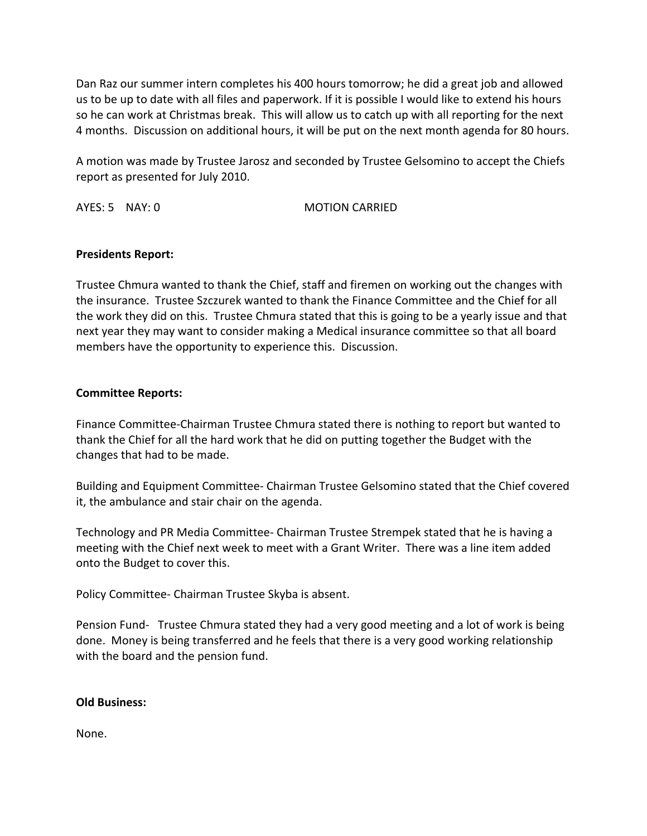Dan Raz our summer intern completes his 400 hours tomorrow; he did a great job and allowed us to be up to date with all files and paperwork. If it is possible I would like to extend his hours so he can work at Christmas break. This will allow us to catch up with all reporting for the next 4 months. Discussion on additional hours, it will be put on the next month agenda for 80 hours.

A motion was made by Trustee Jarosz and seconded by Trustee Gelsomino to accept the Chiefs report as presented for July 2010.

AYES: 5 NAY: 0 MOTION CARRIED

# **Presidents Report:**

Trustee Chmura wanted to thank the Chief, staff and firemen on working out the changes with the insurance. Trustee Szczurek wanted to thank the Finance Committee and the Chief for all the work they did on this. Trustee Chmura stated that this is going to be a yearly issue and that next year they may want to consider making a Medical insurance committee so that all board members have the opportunity to experience this. Discussion.

# **Committee Reports:**

Finance Committee‐Chairman Trustee Chmura stated there is nothing to report but wanted to thank the Chief for all the hard work that he did on putting together the Budget with the changes that had to be made.

Building and Equipment Committee‐ Chairman Trustee Gelsomino stated that the Chief covered it, the ambulance and stair chair on the agenda.

Technology and PR Media Committee‐ Chairman Trustee Strempek stated that he is having a meeting with the Chief next week to meet with a Grant Writer. There was a line item added onto the Budget to cover this.

Policy Committee‐ Chairman Trustee Skyba is absent.

Pension Fund- Trustee Chmura stated they had a very good meeting and a lot of work is being done. Money is being transferred and he feels that there is a very good working relationship with the board and the pension fund.

# **Old Business:**

None.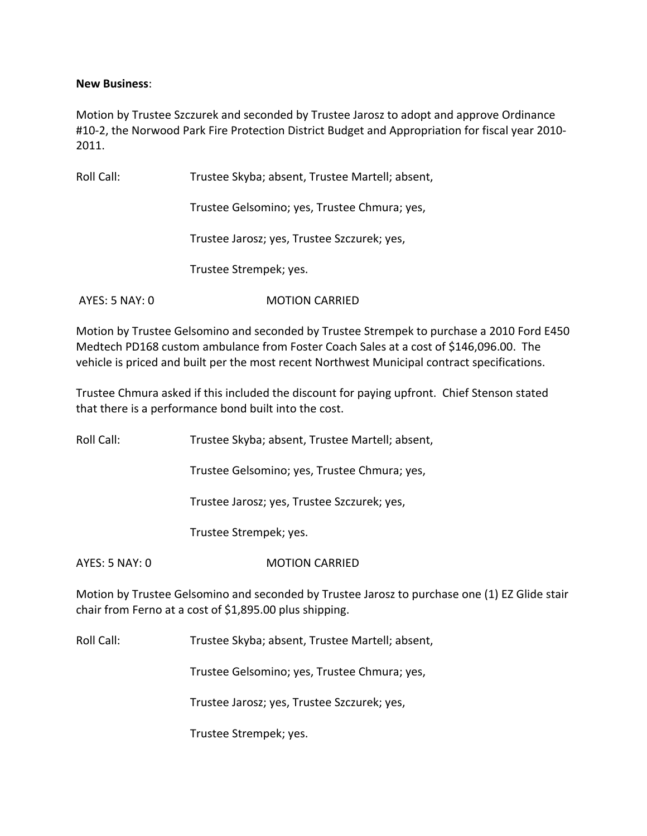### **New Business**:

Motion by Trustee Szczurek and seconded by Trustee Jarosz to adopt and approve Ordinance #10-2, the Norwood Park Fire Protection District Budget and Appropriation for fiscal year 2010-2011.

| Roll Call:     | Trustee Skyba; absent, Trustee Martell; absent, |
|----------------|-------------------------------------------------|
|                | Trustee Gelsomino; yes, Trustee Chmura; yes,    |
|                | Trustee Jarosz; yes, Trustee Szczurek; yes,     |
|                | Trustee Strempek; yes.                          |
| AYES: 5 NAY: 0 | <b>MOTION CARRIED</b>                           |

Motion by Trustee Gelsomino and seconded by Trustee Strempek to purchase a 2010 Ford E450 Medtech PD168 custom ambulance from Foster Coach Sales at a cost of \$146,096.00. The vehicle is priced and built per the most recent Northwest Municipal contract specifications.

Trustee Chmura asked if this included the discount for paying upfront. Chief Stenson stated that there is a performance bond built into the cost.

Roll Call: Trustee Skyba; absent, Trustee Martell; absent,

Trustee Gelsomino; yes, Trustee Chmura; yes,

Trustee Jarosz; yes, Trustee Szczurek; yes,

Trustee Strempek; yes.

AYES: 5 NAY: 0 MOTION CARRIED

Motion by Trustee Gelsomino and seconded by Trustee Jarosz to purchase one (1) EZ Glide stair chair from Ferno at a cost of \$1,895.00 plus shipping.

Roll Call: Trustee Skyba; absent, Trustee Martell; absent,

Trustee Gelsomino; yes, Trustee Chmura; yes,

Trustee Jarosz; yes, Trustee Szczurek; yes,

Trustee Strempek; yes.